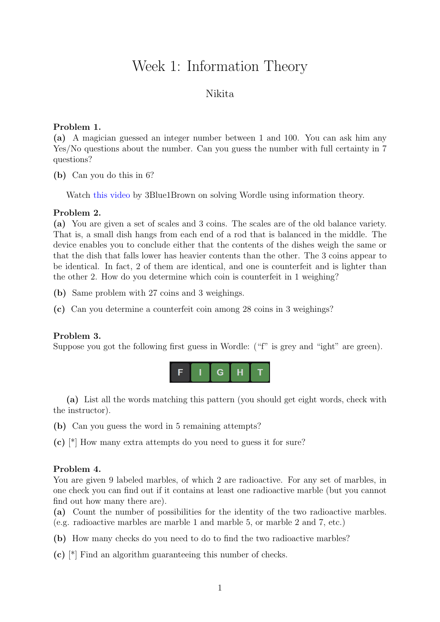# Week 1: Information Theory

## Nikita

### Problem 1.

(a) A magician guessed an integer number between 1 and 100. You can ask him any Yes/No questions about the number. Can you guess the number with full certainty in 7 questions?

(b) Can you do this in 6?

Watch [this video](https://www.youtube.com/watch?v=v68zYyaEmEA) by 3Blue1Brown on solving Wordle using information theory.

#### Problem 2.

(a) You are given a set of scales and 3 coins. The scales are of the old balance variety. That is, a small dish hangs from each end of a rod that is balanced in the middle. The device enables you to conclude either that the contents of the dishes weigh the same or that the dish that falls lower has heavier contents than the other. The 3 coins appear to be identical. In fact, 2 of them are identical, and one is counterfeit and is lighter than the other 2. How do you determine which coin is counterfeit in 1 weighing?

(b) Same problem with 27 coins and 3 weighings.

(c) Can you determine a counterfeit coin among 28 coins in 3 weighings?

#### Problem 3.

Suppose you got the following first guess in Wordle: ("f" is grey and "ight" are green).



(a) List all the words matching this pattern (you should get eight words, check with the instructor).

(b) Can you guess the word in 5 remaining attempts?

(c) [\*] How many extra attempts do you need to guess it for sure?

#### Problem 4.

You are given 9 labeled marbles, of which 2 are radioactive. For any set of marbles, in one check you can find out if it contains at least one radioactive marble (but you cannot find out how many there are).

(a) Count the number of possibilities for the identity of the two radioactive marbles. (e.g. radioactive marbles are marble 1 and marble 5, or marble 2 and 7, etc.)

(b) How many checks do you need to do to find the two radioactive marbles?

 $(c)$  [\*] Find an algorithm guaranteeing this number of checks.